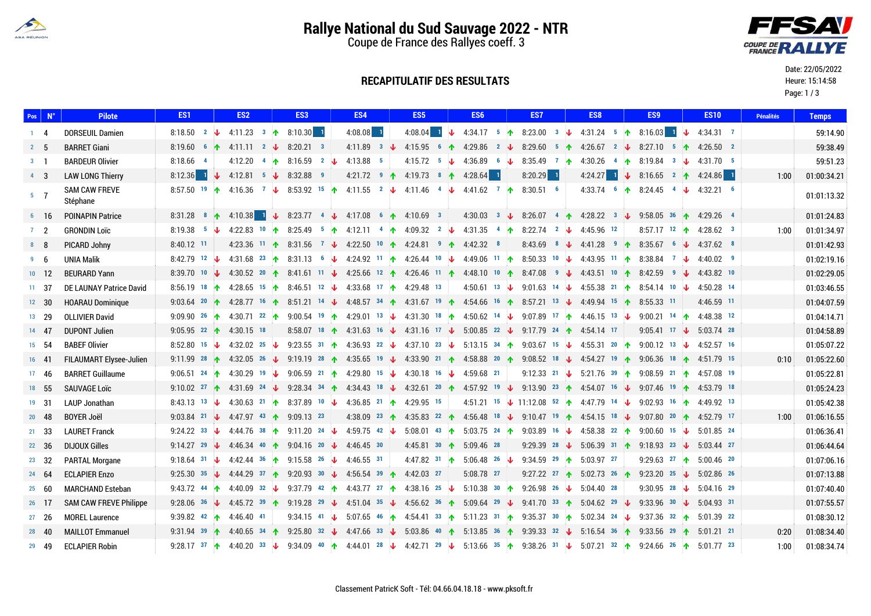

# **Rallye National du Sud Sauvage 2022 - NTR**

Coupe de France des Rallyes coeff. 3

**RECAPITULATIF DES RESULTATS**

#### Date: 22/05/2022

Heure: 15:14:58

Page: 1 / 3

|                | Pos   <u>N°</u> | <b>Pilote</b>                    | ES <sub>1</sub>                                      | ES <sub>2</sub>                | ES <sub>3</sub>                                                                         | ES4                                           | ES <sub>5</sub>                                                                                                                                                                                                                | ES <sub>6</sub>         | ES7                  | ES <sub>8</sub>                                                                                                             | ES <sub>9</sub>                                     | <b>ES10</b>  | <b>Pénalités</b> | <b>Temps</b> |
|----------------|-----------------|----------------------------------|------------------------------------------------------|--------------------------------|-----------------------------------------------------------------------------------------|-----------------------------------------------|--------------------------------------------------------------------------------------------------------------------------------------------------------------------------------------------------------------------------------|-------------------------|----------------------|-----------------------------------------------------------------------------------------------------------------------------|-----------------------------------------------------|--------------|------------------|--------------|
| $1 \quad 4$    |                 | <b>DORSEUIL Damien</b>           | 8:18.50 $2 \sqrt{ }$                                 | 4:11.23 $3 \uparrow 8:10.30$ 1 |                                                                                         | $4:08.08$ 1                                   |                                                                                                                                                                                                                                |                         |                      | 4.08.04 $\frac{1}{2}$ 4.34.17 $\frac{5}{1}$ 8.23.00 $\frac{3}{1}$ 4.31.24 $\frac{5}{1}$ 8.16.03 $\frac{1}{1}$ $\frac{1}{2}$ |                                                     | 4:34.31 7    |                  | 59:14.90     |
| 2 <sub>5</sub> |                 | <b>BARRET Giani</b>              | 8:19.60 6 1                                          | $4:11.11$ 2 $\downarrow$       | $8:20.21$ 3                                                                             |                                               | 4.11.89 3 $\downarrow$ 4.15.95 6 1 4.29.86 2 $\downarrow$                                                                                                                                                                      |                         | 8:29.60 5 个          | 4:26.67 2 $\downarrow$                                                                                                      | 8:27.10 5 1 4:26.50 2                               |              |                  | 59:38.49     |
| $3 \quad 1$    |                 | <b>BARDEUR Olivier</b>           | $8:18.66$ 4                                          |                                | 4.12.20 4 1 8.16.59 2 $\downarrow$                                                      | 4:13.88 5                                     | 4:15.72 5 $\sqrt{4}$ 4:36.89 6 $\sqrt{4}$                                                                                                                                                                                      |                         | 8:35.49 7 $\uparrow$ |                                                                                                                             | 4:30.26 4 1 8:19.84 3 $\downarrow$                  | 4:31.70 5    |                  | 59:51.23     |
| 4 <sup>3</sup> |                 | <b>LAW LONG Thierry</b>          | $8:12.36$ 1<br>$\downarrow$                          |                                | 4:12.81 5 $\sqrt{3}$ 8:32.88 9                                                          |                                               | 4.21.72 $\bullet$ 4.19.73 $\bullet$ 4.28.64 1                                                                                                                                                                                  |                         | $8:20.29$ 1          |                                                                                                                             | 4:24.27 1 $\sqrt{3}$ 8:16.65 2 $\uparrow$ 4:24.86 1 |              | 1:00             | 01:00:34.21  |
| 5 <sub>7</sub> |                 | <b>SAM CAW FREVE</b><br>Stéphane |                                                      |                                |                                                                                         |                                               | 8:57.50 19 1 4:16.36 7 1 8:53.92 15 1 4:11.55 2 1 4:11.46 4 1 4:41.62 7 1 8:30.51 6                                                                                                                                            |                         |                      |                                                                                                                             | 4:33.74 6 1 8:24.45 4 $\downarrow$                  | $4:32.21$ 6  |                  | 01:01:13.32  |
|                | $6 \t16$        | <b>POINAPIN Patrice</b>          | 8:31.28 8 $\uparrow$                                 |                                | 4.10.38 $\frac{1}{2}$ 8.23.77 $\frac{4}{2}$ 4.17.08 $\frac{6}{2}$ 4.10.69 $\frac{3}{2}$ |                                               |                                                                                                                                                                                                                                |                         |                      | 4:30.03 3 $\sqrt{3}$ 8:26.07 4 $\uparrow$ 4.28.22 3 $\downarrow$ 9:58.05 36 $\uparrow$ 4:29.26 4                            |                                                     |              |                  | 01:01:24.83  |
| $7\quad 2$     |                 | <b>GRONDIN Loïc</b>              | 8:19.38 $5\sqrt{ }$                                  |                                |                                                                                         |                                               | 4.22.83 10 1 8.25.49 5 1 4.12.11 4 1 4.09.32 $2 \n\downarrow$                                                                                                                                                                  |                         |                      | 4.31.35 4 1 8.22.74 2 4.45.96 12                                                                                            | 8:57.17 12 $\uparrow$                               | $4:28.62$ 3  | 1:00             | 01:01:34.97  |
| 8 <sub>8</sub> |                 | PICARD Johny                     | 8:40.12 11                                           |                                |                                                                                         |                                               | 4.23.36 11 1 8.31.56 7 4 4.22.50 10 1 4.24.81 9 1 4.42.32 8                                                                                                                                                                    |                         |                      | 8.43.69 8 $\downarrow$ 4.41.28 9 $\uparrow$                                                                                 | $8:35.67$ 6 $\downarrow$                            | 4:37.62 8    |                  | 01:01:42.93  |
| 9 <sub>6</sub> |                 | <b>UNIA Malik</b>                | 8:42.79 12 $\downarrow$                              |                                |                                                                                         |                                               | 4:31.68 <sup>23</sup> 1 8:31.13 6 4 4:24.92 11 1 4:26.44 10 4 4:49.06 11 1 8:50.33 10 4 4:43.95 11 1                                                                                                                           |                         |                      |                                                                                                                             | 8:38.84 7 $\downarrow$                              | $4:40.02$ 9  |                  | 01:02:19.16  |
| $10 \t 12$     |                 | <b>BEURARD Yann</b>              | 8:39.70 10 $\sqrt{ }$                                |                                |                                                                                         |                                               | 4:30.52 <sup>20</sup> 1 8:41.61 <sup>11</sup> $\downarrow$ 4:25.66 <sup>12</sup> 1 4:26.46 <sup>11</sup> 1 4:48.10 <sup>10</sup> 1 8:47.08 <sup>9</sup> $\downarrow$ 4:43.51 <sup>10</sup> 1 8:42.59 <sup>9</sup> $\downarrow$ |                         |                      |                                                                                                                             |                                                     | 4:43.82 10   |                  | 01:02:29.05  |
| $11 \quad 37$  |                 | DE LAUNAY Patrice David          | 8:56.19 18 个                                         |                                | 4.28.65 15 16 8.46.51 12 $\downarrow$ 4.33.68 17 1 4.29.48 13                           |                                               |                                                                                                                                                                                                                                |                         |                      | 4.50.61 13 $\sqrt{9.01.63}$ 14 $\sqrt{4.55.38}$ 21 <b>1</b>                                                                 | 8:54.14 10 $\downarrow$                             | 4:50.28 14   |                  | 01:03:46.55  |
| $12 \quad 30$  |                 | <b>HOARAU Dominique</b>          | 9:03.64 20 1                                         |                                |                                                                                         |                                               | 4.28.77 16 1 8.51.21 14 4 4.48.57 34 1 4.31.67 19 1 4.54.66 16 1 8.57.21 13 4 4.49.94 15 1 8.55.33 11                                                                                                                          |                         |                      |                                                                                                                             |                                                     | 4:46.59 11   |                  | 01:04:07.59  |
| 13 29          |                 | <b>OLLIVIER David</b>            | 9:09.90 26 1                                         | 4:30.71 22 $\uparrow$          |                                                                                         |                                               | 9:00.54 19 1 4:29.01 13 $\downarrow$ 4:31.30 18 1 4:50.62 14 $\downarrow$ 9:07.89 17 1 4:46.15 13 $\downarrow$                                                                                                                 |                         |                      |                                                                                                                             | 9:00.21 14 个                                        | 4:48.38 12   |                  | 01:04:14.71  |
| 14 47          |                 | <b>DUPONT Julien</b>             | 9:05.95 22 1                                         | 4:30.15 18                     |                                                                                         |                                               | 8:58.07 18 1 4:31.63 16 $\downarrow$ 4:31.16 17 $\downarrow$ 5:00.85 22 $\downarrow$ 9:17.79 24 1 4:54.14 17                                                                                                                   |                         |                      |                                                                                                                             | 9:05.41 17 $\downarrow$                             | 5:03.74 28   |                  | 01:04:58.89  |
| 15 54          |                 | <b>BABEF Olivier</b>             | 8:52.80 15 $\downarrow$                              | 4:32.02 25 $\sqrt{ }$          |                                                                                         | 9:23.55 31 1 4:36.93 22 $\downarrow$          | 4:37.10 23 $\downarrow$ 5:13.15 34 $\uparrow$                                                                                                                                                                                  |                         |                      | 9.03.67 15 $\sqrt{4.55.31}$ 20 $\uparrow$                                                                                   | 9:00.12 13 $\downarrow$                             | 4:52.57 16   |                  | 01:05:07.22  |
| $16$ 41        |                 | <b>FILAUMART Elysee-Julien</b>   | 9:11.99 28 1                                         | 4:32.05 26 $\downarrow$        |                                                                                         |                                               | 9:19.19 28 1 4:35.65 19 4 4:33.90 21 1 4:58.88 20 1 9:08.52 18 4 4:54.27 19 1 9:06.36 18 1                                                                                                                                     |                         |                      |                                                                                                                             |                                                     | 4:51.79 15   | 0:10             | 01:05:22.60  |
|                | 17 46           | <b>BARRET Guillaume</b>          | 9:06.51 24 $\uparrow$                                |                                | 4:30.29 19 $\downarrow$ 9:06.59 21 $\uparrow$ 4:29.80 15 $\downarrow$                   |                                               | 4:30.18 16 $\sqrt{4.59.68}$ 21                                                                                                                                                                                                 |                         |                      | 9.12.33 21 $\sqrt{5.21.76}$ 39 $\uparrow$ 9.08.59 21 $\uparrow$ 4.57.08 19                                                  |                                                     |              |                  | 01:05:22.81  |
| 18 55          |                 | <b>SAUVAGE Loïc</b>              | 9:10.02 27 $\uparrow$                                |                                |                                                                                         |                                               | 4.31.69 24 <b>4</b> 9.28.34 34 <b>1</b> 4.34.43 18 <b>4</b> 4.32.61 20 <b>1</b> 4.57.92 19 <b>4</b> 9.13.90 23 <b>1</b> 4.54.07 16 <b>4</b> 9.07.46 19 <b>1</b> 4.53.79 18                                                     |                         |                      |                                                                                                                             |                                                     |              |                  | 01:05:24.23  |
| 19 31          |                 | LAUP Jonathan                    | 8:43.13 13 $\downarrow$                              |                                | 4:30.63 21 1 8:37.89 10 $\downarrow$ 4:36.85 21 1                                       |                                               | 4:29.95 15                                                                                                                                                                                                                     |                         |                      | 4.51.21 15 $\sqrt{11.12.08}$ 52 $\uparrow$ 4.47.79 14 $\downarrow$ 9.02.93 16 $\uparrow$                                    |                                                     | 4:49.92 13   |                  | 01:05:42.38  |
| 20 48          |                 | <b>BOYER Joël</b>                | 9:03.84 21 $\sqrt{4.47.97}$ 43 $\uparrow$ 9:09.13 23 |                                |                                                                                         |                                               | 4.38.09 23 1 4.35.83 22 1 4.56.48 18 4 9.10.47 19 1 4.54.15 18 4 9.07.80 20 1 4.52.79 17                                                                                                                                       |                         |                      |                                                                                                                             |                                                     |              | 1:00             | 01:06:16.55  |
| 21 33          |                 | <b>LAURET Franck</b>             | 9:24.22 33 $\downarrow$                              |                                | 4.44.76 38 1 9.11.20 24 $\downarrow$ 4.59.75 42 $\downarrow$                            |                                               |                                                                                                                                                                                                                                |                         |                      | 5:08.01 43 1 5:03.75 24 1 9:03.89 16 1 4:58.38 22 1 9:00.60 15 1 5:01.85 24                                                 |                                                     |              |                  | 01:06:36.41  |
|                | $22 \quad 36$   | <b>DIJOUX Gilles</b>             |                                                      |                                | 9.14.27 29 $\sqrt{4.46.34}$ 40 $\uparrow$ 9.04.16 20 $\downarrow$ 4.46.45 30            |                                               | 4:45.81 30 1 5:09.46 28                                                                                                                                                                                                        |                         |                      | 9.29.39 28 $\sqrt{ }$ 5.06.39 31 1 9.18.93 23 $\sqrt{ }$                                                                    |                                                     | 5:03.44 27   |                  | 01:06:44.64  |
| 23 32          |                 | <b>PARTAL Morgane</b>            | 9:18.64 31 $\sqrt{ }$                                |                                | 4:42.44 36 1 9:15.58 26 $\downarrow$ 4:46.55 31                                         |                                               | 4:47.82 31 1                                                                                                                                                                                                                   | $5:06.48$ 26 $\sqrt{ }$ |                      | 9:34.59 29 1 5:03.97 27                                                                                                     | 9:29.63 27 1                                        | $5:00.46$ 20 |                  | 01:07:06.16  |
| 24 64          |                 | <b>ECLAPIER Enzo</b>             | 9:25.30 35 $\sqrt{ }$                                |                                | 4.44.29 37 1 9.20.93 30 4 4.56.54 39 1 4.42.03 27                                       |                                               |                                                                                                                                                                                                                                | 5:08.78 27              |                      | 9.27.22 27 1 5.02.73 26 1                                                                                                   | 9:23.20 25 $\sqrt{ }$                               | 5:02.86 26   |                  | 01:07:13.88  |
| 25 60          |                 | <b>MARCHAND Esteban</b>          | 9:43.72 44 个                                         |                                |                                                                                         |                                               | 4.40.09 32 $\sqrt{9.37.79}$ 42 $\uparrow$ 4.43.77 27 $\uparrow$ 4.38.16 25 $\downarrow$                                                                                                                                        | $5:10.38$ 30 个          |                      | 9:26.98 26 $\sqrt{ }$ 5:04.40 28                                                                                            | 9:30.95 28 $\downarrow$                             | 5:04.16 29   |                  | 01:07:40.40  |
| 26 17          |                 | <b>SAM CAW FREVE Philippe</b>    | 9:28.06 36 $\sqrt{ }$                                | 4:45.72 39 1                   |                                                                                         |                                               | 9.19.28 29 $\sqrt{4.51.04}$ 35 $\sqrt{4.56.62}$ 36 $\sqrt{6.509.64}$ 29 $\sqrt{6.509}$                                                                                                                                         |                         |                      | 9:41.70 33 1 5:04.62 29 $\downarrow$                                                                                        | 9:33.96 30 $\downarrow$                             | $5.04.93$ 31 |                  | 01:07:55.57  |
| $27 \quad 26$  |                 | <b>MOREL Laurence</b>            | 9:39.82 42 个                                         | 4:46.40 41                     |                                                                                         | 9:34.15 41 $\downarrow$ 5:07.65 46 $\uparrow$ |                                                                                                                                                                                                                                |                         |                      | 4.54.41 33 1 5:11.23 31 1 9:35.37 30 1 5:02.34 24 V                                                                         | 9:37.36 32 个                                        | 5:01.39 22   |                  | 01:08:30.12  |
| $28 \quad 40$  |                 | <b>MAILLOT Emmanuel</b>          |                                                      | 9.31.94 39 1 4.40.65 34 1      |                                                                                         |                                               | 9:25.80 32 $\downarrow$ 4:47.66 33 $\downarrow$ 5:03.86 40 $\uparrow$ 5:13.85 36 $\uparrow$ 9:39.33 32 $\downarrow$ 5:16.54 36 $\uparrow$ 9:33.56 29 $\uparrow$                                                                |                         |                      |                                                                                                                             |                                                     | $5:01.21$ 21 | 0:20             | 01:08:34.40  |
|                | 29 49           | <b>ECLAPIER Robin</b>            |                                                      |                                |                                                                                         |                                               | 9:28.17 37 1 4:40.20 33 1 9:34.09 40 1 4:44.01 28 1 4:42.71 29 1 5:13.66 35 1 9:38.26 31 1 5:07.21 32 1 9:24.66 26 1 5:01.77 23                                                                                                |                         |                      |                                                                                                                             |                                                     |              | 1:00             | 01:08:34.74  |

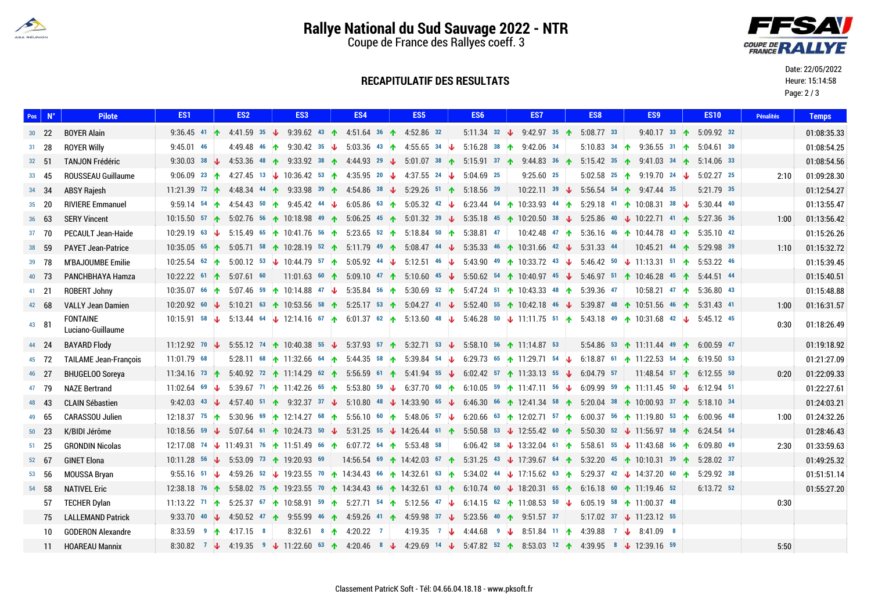

Date: 22/05/2022 Heure: 15:14:58 Page: 2 / 3

# **Rallye National du Sud Sauvage 2022 - NTR**

Coupe de France des Rallyes coeff. 3



### **RECAPITULATIF DES RESULTATS**

| $Pos \mid N^{\circ}$ | <b>Pilote</b>                        | ES <sub>1</sub>                                         | ES <sub>2</sub> | ES <sub>3</sub>                                                                                                                                                                                                                                                  | ES4                                                                                                                            | ES <sub>5</sub> |  | ES <sub>6</sub> | ES7                                                                                                  | ES <sub>8</sub> | ES <sub>9</sub>                      | <b>ES10</b>                          | <b>Pénalités</b> | <b>Temps</b> |
|----------------------|--------------------------------------|---------------------------------------------------------|-----------------|------------------------------------------------------------------------------------------------------------------------------------------------------------------------------------------------------------------------------------------------------------------|--------------------------------------------------------------------------------------------------------------------------------|-----------------|--|-----------------|------------------------------------------------------------------------------------------------------|-----------------|--------------------------------------|--------------------------------------|------------------|--------------|
| $30 \t 22$           | <b>BOYER Alain</b>                   |                                                         |                 | 9:36.45 41 1 4:41.59 35 1 9:39.62 43 1 4:51.64 36 1 4:52.86 32                                                                                                                                                                                                   |                                                                                                                                |                 |  |                 | 5.11.34 32 $\sqrt{9.42.97}$ 35 $\uparrow$ 5.08.77 33                                                 |                 |                                      | 9:40.17 33 1 5:09.92 32              |                  | 01:08:35.33  |
| $31 \quad 28$        | <b>ROYER Willy</b>                   | $9:45.01$ 46                                            |                 | 4.49.48 46 1 9.30.42 35 $\sqrt{5.03.36}$ 43 1 4.55.65 34 $\sqrt{5.03.36}$                                                                                                                                                                                        |                                                                                                                                |                 |  | $5:16.28$ 38 个  | 9:42.06 34                                                                                           |                 | 5:10.83 34 1 9:36.55 31 1            | $5:04.61$ 30                         |                  | 01:08:54.25  |
| 32, 51               | <b>TANJON Frédéric</b>               | 9:30.03 38 $\sqrt{ }$                                   |                 | 4.53.36 48 1 9.33.92 38 1 4.44.93 29 1 5.01.07 38 1 5.15.91 37 1 9.44.83 36 1                                                                                                                                                                                    |                                                                                                                                |                 |  |                 |                                                                                                      |                 |                                      | 5.15.42 35 1 9.41.03 34 1 5.14.06 33 |                  | 01:08:54.56  |
| $33 \quad 45$        | <b>ROUSSEAU Guillaume</b>            |                                                         |                 | 9:06.09 23 1 4:27.45 13 1 10:36.42 53 1 4:35.95 20 1 4:37.55 24 1 5:04.69 25                                                                                                                                                                                     |                                                                                                                                |                 |  |                 | $9:25.60$ 25                                                                                         |                 | 5.02.58 25 1 9.19.70 24 $\downarrow$ | $5:02.27$ 25                         | 2:10             | 01:09:28.30  |
| 34 34                | <b>ABSY Rajesh</b>                   |                                                         |                 | 11.21.39 <sup>72</sup> 14.48.34 <sup>44</sup> 1 9.33.98 <sup>39</sup> 1 4.54.86 <sup>38</sup> V 5.29.26 <sup>51</sup> 1 5.18.56 <sup>39</sup>                                                                                                                    |                                                                                                                                |                 |  |                 | 10:22.11 39 $\sqrt{5.56.54}$ 54 $\uparrow$ 9:47.44 35                                                |                 |                                      | 5:21.79 35                           |                  | 01:12:54.27  |
| $35 \quad 20$        | <b>RIVIERE Emmanuel</b>              | 9:59.14 54 个                                            |                 | 4.54.43 <sup>50</sup> 1 9.45.42 <sup>44</sup> $\downarrow$ 6.05.86 <sup>63</sup> 1 5.05.32 <sup>42</sup> $\downarrow$ 6.23.44 <sup>64</sup> 10.33.93 <sup>44</sup> 1                                                                                             |                                                                                                                                |                 |  |                 |                                                                                                      |                 | 5:29.18 41 10:08.31 38 $\downarrow$  | $5:30.44$ 40                         |                  | 01:13:55.47  |
| $36$ 63              | <b>SERY Vincent</b>                  |                                                         |                 | 10:15.50 $57$ ↑ 5:02.76 $56$ ↑ 10:18.98 $49$ ↑ 5:06.25 $45$ ↑ 5:01.32 $39$ ↓ 5:35.18 $45$ ↑ 10:20.50 $38$ ↓ 5:25.86 $40$ ↓ 10:22.71 $41$ ↑ 5:27.36 $36$                                                                                                          |                                                                                                                                |                 |  |                 |                                                                                                      |                 |                                      |                                      | 1:00             | 01:13:56.42  |
| 37 70                | <b>PECAULT Jean-Haide</b>            | $10:29.19$ 63 $\downarrow$                              |                 | 5.15.49 65 10:41.76 56 1 5.23.65 52 1 5.18.84 50 1 5.38.81 47                                                                                                                                                                                                    |                                                                                                                                |                 |  |                 | 10.42.48 47 1 5:36.16 46 10.44.78 43 1                                                               |                 |                                      | $5:35.10$ 42                         |                  | 01:15:26.26  |
| 38 59                | <b>PAYET Jean-Patrice</b>            |                                                         |                 | 10:35.05 <sup>65</sup> 1 5:05.71 <sup>58</sup> 10:28.19 <sup>52</sup> 1 5:11.79 <sup>49</sup> 1 5:08.47 <sup>44</sup> $\downarrow$ 5:35.33 <sup>46</sup> 10:31.66 <sup>42</sup> $\downarrow$ 5:31.33 <sup>44</sup>                                               |                                                                                                                                |                 |  |                 |                                                                                                      |                 |                                      | 10:45.21 44 1 5:29.98 39             | 1:10             | 01:15:32.72  |
| 39 78                | M'BAJOUMBE Emilie                    |                                                         |                 | 10:25.54 62 1 1:13.31 51 1 5:53.22 46                                                                                                                                                                                                                            |                                                                                                                                |                 |  |                 |                                                                                                      |                 |                                      |                                      |                  | 01:15:39.45  |
| 40 73                | PANCHBHAYA Hamza                     | $10:22.22$ <sup>61</sup> <b>1</b> 5:07.61 <sup>60</sup> |                 |                                                                                                                                                                                                                                                                  | 11:01.63 60 1 5:09.10 47 1 5:10.60 45 $\downarrow$ 5:50.62 54 1 10:40.97 45 $\downarrow$ 5:46.97 51 1 10:46.28 45 1 5:44.51 44 |                 |  |                 |                                                                                                      |                 |                                      |                                      |                  | 01:15:40.51  |
| 41 21                | ROBERT Johny                         |                                                         |                 | 10:35.07 66 1 5:07.46 59 1 10:14.88 47 $\downarrow$ 5:35.84 56 1 5:30.69 52 1 5:47.24 51 10:43.33 48 1 5:39.36 47                                                                                                                                                |                                                                                                                                |                 |  |                 |                                                                                                      |                 |                                      | 10:58.21 47 1 5:36.80 43             |                  | 01:15:48.88  |
| 42 68                | <b>VALLY Jean Damien</b>             |                                                         |                 | 10:20.92 <sup>60</sup> ↓ 5:10.21 <sup>63</sup> ↑ 10:53.56 <sup>58</sup> ↑ 5:25.17 <sup>53</sup> ↑ 5:04.27 <sup>41</sup> ↓ 5:52.40 <sup>55</sup> ↑ 10:42.18 <sup>46</sup> ↓ 5:39.87 <sup>48</sup> ↑ 10:51.56 <sup>46</sup> ↑ 5:31.43 <sup>41</sup>                |                                                                                                                                |                 |  |                 |                                                                                                      |                 |                                      |                                      | 1:00             | 01:16:31.57  |
| 43 81                | <b>FONTAINE</b><br>Luciano-Guillaume |                                                         |                 | 10:15.91 58 $\downarrow$ 5:13.44 54 $\downarrow$ 12:14.16 57 $\uparrow$ 6:01.37 52 $\uparrow$ 5:13.50 48 $\downarrow$ 5:46.28 50 $\downarrow$ 11:11.75 51 $\uparrow$ 5:43.18 49 $\uparrow$ 10:31.68 42 $\downarrow$ 5:45.12 45                                   |                                                                                                                                |                 |  |                 |                                                                                                      |                 |                                      |                                      | 0:30             | 01:18:26.49  |
| 44 24                | <b>BAYARD Flody</b>                  |                                                         |                 | 11.12.92 70 $\downarrow$ 5:55.12 74 10:40.38 55 $\downarrow$ 5:37.93 57 1 5:32.71 53 $\downarrow$ 5:58.10 56 1 11:14.87 53                                                                                                                                       |                                                                                                                                |                 |  |                 |                                                                                                      |                 |                                      | 5.54.86 53 1 1.11.44 49 1 6.00.59 47 |                  | 01:19:18.92  |
| 45 72                | <b>TAILAME Jean-François</b>         | 11:01.79 68                                             |                 | 5.28.11 68 1 11:32.66 64 1 5:44.35 58 1 5:39.84 54 1 6:29.73 65 1 11:29.71 54 1 6:18.87 61 1 11:22.53 54 1 6:19.50 53                                                                                                                                            |                                                                                                                                |                 |  |                 |                                                                                                      |                 |                                      |                                      |                  | 01:21:27.09  |
| 46 27                | <b>BHUGELOO Soreya</b>               |                                                         |                 | 11:34.16 73 1 5:40.92 72 11:14.29 <sup>62</sup> 1 5:56.59 <sup>61</sup> 1 5:41.94 <sup>55</sup> $\downarrow$ 6:02.42 <sup>57</sup> 11:33.13 <sup>55</sup> $\downarrow$ 6:04.79 <sup>57</sup>                                                                     |                                                                                                                                |                 |  |                 |                                                                                                      |                 |                                      | 11:48.54 57 1 6:12.55 50             | 0:20             | 01:22:09.33  |
| 47 79                | <b>NAZE Bertrand</b>                 | $11:02.64$ 69 $\downarrow$                              |                 | 5:39.67 71 1 1.42.26 65 1 5:53.80 59 $\downarrow$ 6:37.70 60 1 6:10.05 59 1 11.47.11 56 $\downarrow$ 6:09.99 59 1 11.11.45 50 $\downarrow$ 6:12.94 51                                                                                                            |                                                                                                                                |                 |  |                 |                                                                                                      |                 |                                      |                                      |                  | 01:22:27.61  |
| 48 43                | <b>CLAIN Sébastien</b>               |                                                         |                 | 9:42.03 43 $\blacklozenge$ 4:57.40 51 $\blacklozenge$ 9:32.37 37 $\blacklozenge$ 5:10.80 48 $\blacklozenge$ 14:33.90 65 $\blacklozenge$ 6:46.30 66 $\blacklozenge$ 12:41.34 58 $\blacklozenge$ 5:20.04 38 $\blacklozenge$ 10:00.93 37 $\blacklozenge$ 5:18.10 34 |                                                                                                                                |                 |  |                 |                                                                                                      |                 |                                      |                                      |                  | 01:24:03.21  |
| 49 65                | <b>CARASSOU Julien</b>               |                                                         |                 | 12:18.37 <sup>75</sup> 1 5:30.96 <sup>69</sup> 12:14.27 <sup>68</sup> 1 5:56.10 <sup>60</sup> 1 5:48.06 <sup>57</sup> V 6:20.66 <sup>63</sup> 1 12:02.71 <sup>57</sup> 1 6:00.37 <sup>56</sup> 1 11:19.80 <sup>53</sup> 1 6:00.96 <sup>48</sup>                  |                                                                                                                                |                 |  |                 |                                                                                                      |                 |                                      |                                      | 1:00             | 01:24:32.26  |
| $50 \quad 23$        | K/BIDI Jérôme                        |                                                         |                 | 10:18.56 59 ↓ 5:07.64 61 ↑ 10:24.73 50 ↓ 5:31.25 55 ↓ 14:26.44 61 ↑ 5:50.58 53 ↓ 12:55.42 60 ↑ 5:50.30 52 ↓ 11:56.97 58 ↑ 6:24.54 54                                                                                                                             |                                                                                                                                |                 |  |                 |                                                                                                      |                 |                                      |                                      |                  | 01:28:46.43  |
| $51 \quad 25$        | <b>GRONDIN Nicolas</b>               |                                                         |                 | 12.17.08 74 \ 11.49.31 76 \ 11.51.49 66 \ 6.07.72 64 \ 5.53.48 58                                                                                                                                                                                                |                                                                                                                                |                 |  |                 | 6.06.42 58 $\sqrt{13.32.04}$ 61 $\uparrow$ 5.58.61 55 $\downarrow$ 11.43.68 56 $\uparrow$ 6.09.80 49 |                 |                                      |                                      | 2:30             | 01:33:59.63  |
| $52 \t 67$           | <b>GINET Elona</b>                   |                                                         |                 | $10.11.28$ 56 $\sqrt{ }$ 5.53.09 73 1 19.20.93 69                                                                                                                                                                                                                | 14:56.54 69 14:42.03 67 12 5:31.25 43 $\downarrow$ 17:39.67 64 1 5:32.20 45 10:10.31 39 1 5:28.02 37                           |                 |  |                 |                                                                                                      |                 |                                      |                                      |                  | 01:49:25.32  |
| 53 56                | <b>MOUSSA Bryan</b>                  | 9:55.16 51 $\sqrt{ }$                                   |                 | 4.59.26 52 $\downarrow$ 19.23.55 70 $\uparrow$ 14.34.43 66 $\uparrow$ 14.32.61 63 $\uparrow$ 5.34.02 44 $\downarrow$ 17.15.62 63 $\uparrow$ 5.29.37 42 $\downarrow$ 14.37.20 60 $\uparrow$                                                                       |                                                                                                                                |                 |  |                 |                                                                                                      |                 |                                      | 5:29.92 38                           |                  | 01:51:51.14  |
| 54 58                | <b>NATIVEL Eric</b>                  |                                                         |                 | 12:38.18 76 1 5:58.02 75 1 13:23.55 70 1 14:34.43 66 1 14:32.61 63 1 6:10.74 60 1 13:20.31 65 1 6:16.18 60 1 11:19.46 52                                                                                                                                         |                                                                                                                                |                 |  |                 |                                                                                                      |                 |                                      | 6:13.72 52                           |                  | 01:55:27.20  |
| 57                   | <b>TECHER Dylan</b>                  | 11:13.22 $71 + 1$                                       |                 | 5:25.37 67 10:58.91 59 1 5:27.71 54 1 5:12.56 47 $\downarrow$ 6:14.15 62 1 11:08.53 50 $\downarrow$ 6:05.19 58 1 11:00.37 48                                                                                                                                     |                                                                                                                                |                 |  |                 |                                                                                                      |                 |                                      |                                      | 0:30             |              |
| 75                   | <b>LALLEMAND Patrick</b>             | 9:33.70 40 $\downarrow$                                 |                 | 4.50.52 47 1 9:55.99 46 1 4:59.26 41 1 4:59.98 37 $\sqrt{ }$ 5:23.56 40 1 9:51.57 37                                                                                                                                                                             |                                                                                                                                |                 |  |                 |                                                                                                      |                 | $5.17.02$ 37 $\bigcup$ 11.23.12 55   |                                      |                  |              |
| 10                   | <b>GODERON Alexandre</b>             | 8:33.59 9 1 4:17.15 8                                   |                 |                                                                                                                                                                                                                                                                  | 8:32.61 8 1 4:20.22 7                                                                                                          |                 |  |                 | 4.19.35 7 $\downarrow$ 4.44.68 9 $\downarrow$ 8.51.84 11 $\uparrow$ 4.39.88 7 $\downarrow$ 8.41.09 8 |                 |                                      |                                      |                  |              |
| 11                   | <b>HOAREAU Mannix</b>                |                                                         |                 | 8:30.82 7 $\downarrow$ 4:19.35 9 $\downarrow$ 11:22.60 63 $\uparrow$ 4:20.46 8 $\downarrow$ 4:29.69 14 $\downarrow$ 5:47.82 52 $\uparrow$ 8:53.03 12 $\uparrow$ 4:39.95 8 $\downarrow$ 12:39.16 59                                                               |                                                                                                                                |                 |  |                 |                                                                                                      |                 |                                      |                                      | 5:50             |              |